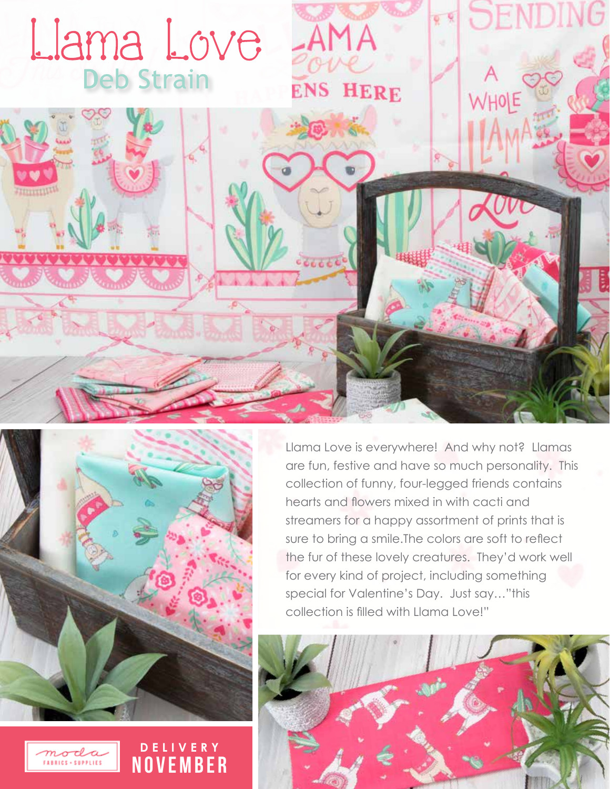



**DELIVERY NOVEMBER**  Llama Love is everywhere! And why not? Llamas are fun, festive and have so much personality. This collection of funny, four-legged friends contains hearts and flowers mixed in with cacti and streamers for a happy assortment of prints that is sure to bring a smile.The colors are soft to reflect the fur of these lovely creatures. They'd work well for every kind of project, including something special for Valentine's Day. Just say…"this collection is filled with Llama Love!"



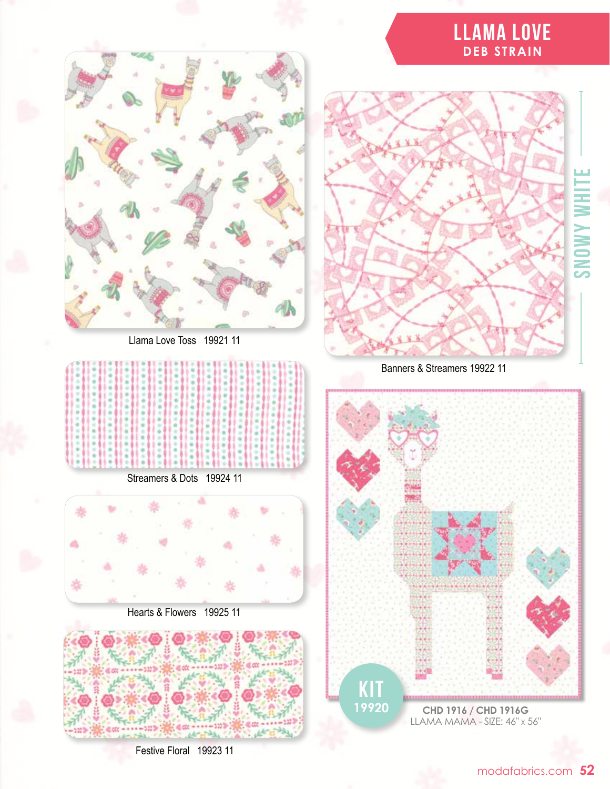## **LLAMA LOVE DEB STRAIN**





Banners & Streamers 19922 11





Streamers & Dots 19924 11

Hearts & Flowers 19925 11



Festive Floral 19923 11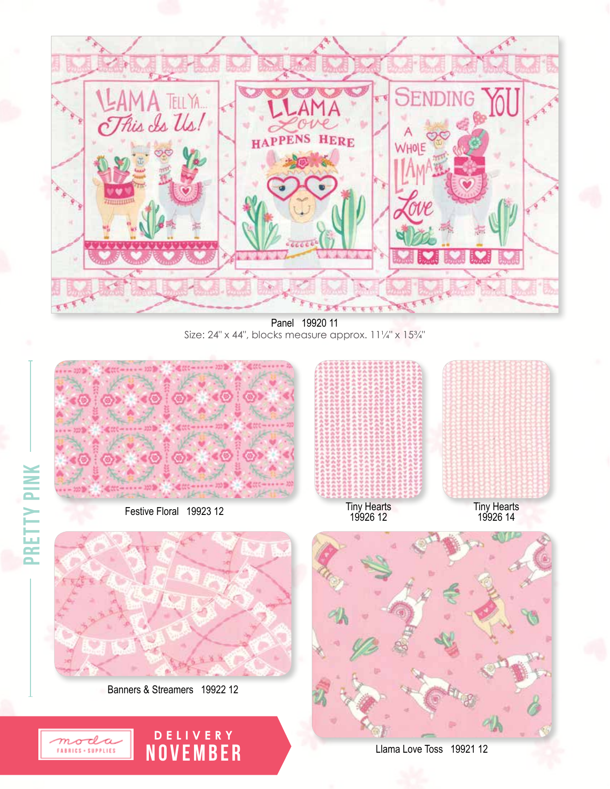

Panel 19920 11 Size: 24" x 44", blocks measure approx. 11¼" x 15¼"



Festive Floral 19923 12

pretty pink

**PRETTY PINK** 



Tiny Hearts<br>19926 12

Tiny Hearts 19926 14



Banners & Streamers 19922 12

moda FABRICS + SUPPLIES

**DELIVERY** NOVEmBER



Llama Love Toss 19921 12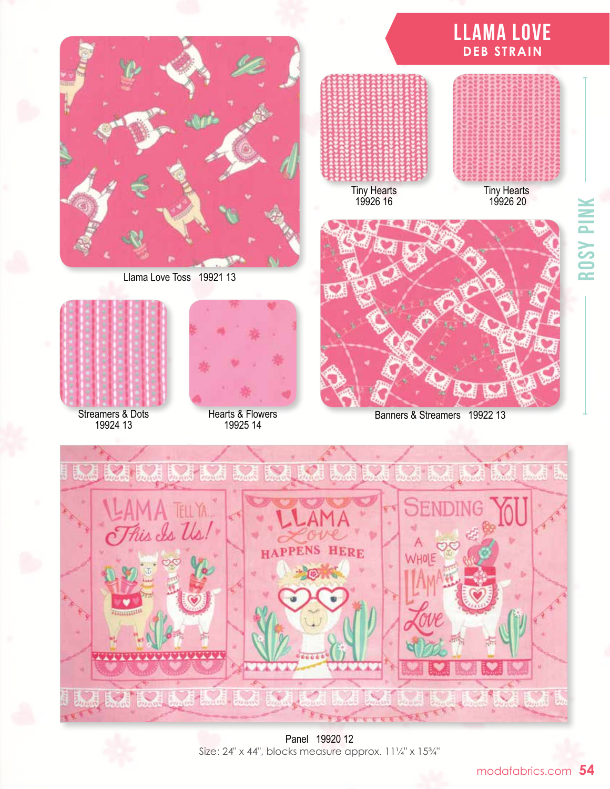

Llama Love Toss 19921 13



Streamers & Dots 19924 13



Hearts & Flowers 19925 14



Banners & Streamers 19922 13



Panel 19920 12 Size: 24" x 44", blocks measure approx. 11¼" x 15¾"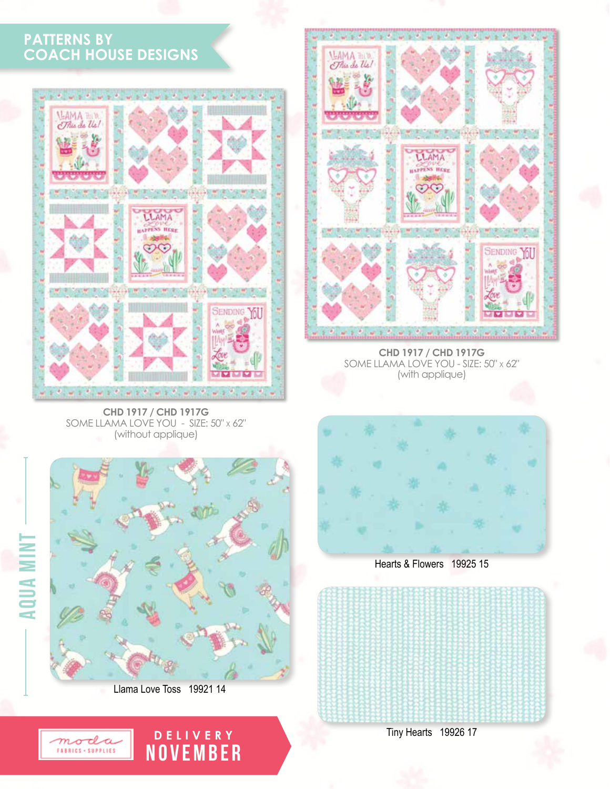## **PATTERNS BY COACH HOUSE DESIGNS**



**CHD 1917 / CHD 1917G** SOME LLAMA LOVE YOU - SIZE: 50" <sup>x</sup> 62" (without applique)



**CHD 1917 / CHD 1917G** SOME LLAMA LOVE YOU - SIZE: 50" <sup>x</sup> 62" (with applique)



Llama Love Toss 19921 14

**DELIVERY** NOVEmBER



Hearts & Flowers 19925 15



Tiny Hearts 19926 17



aqua mint